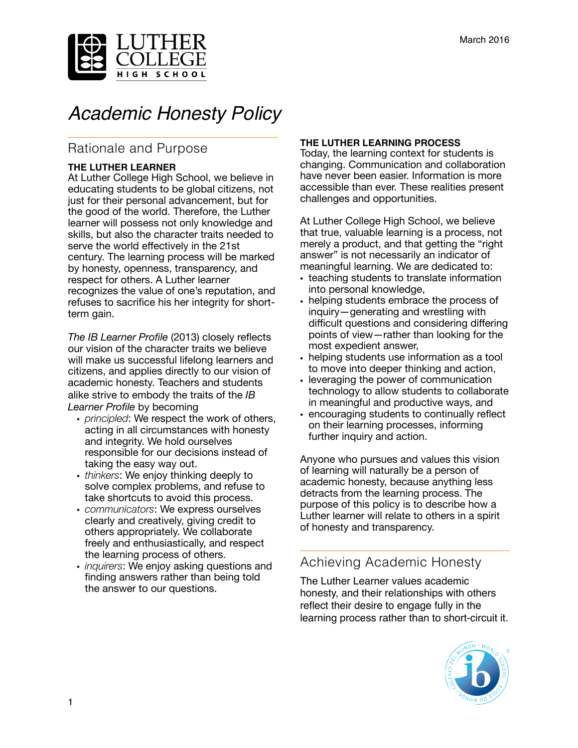

# *Academic Honesty Policy*

# Rationale and Purpose

#### **THE LUTHER LEARNER**

At Luther College High School, we believe in educating students to be global citizens, not just for their personal advancement, but for the good of the world. Therefore, the Luther learner will possess not only knowledge and skills, but also the character traits needed to serve the world effectively in the 21st century. The learning process will be marked by honesty, openness, transparency, and respect for others. A Luther learner recognizes the value of one's reputation, and refuses to sacrifice his her integrity for shortterm gain.

*The IB Learner Profile* (2013) closely reflects our vision of the character traits we believe will make us successful lifelong learners and citizens, and applies directly to our vision of academic honesty. Teachers and students alike strive to embody the traits of the *IB Learner Profile* by becoming

- *principled*: We respect the work of others, acting in all circumstances with honesty and integrity. We hold ourselves responsible for our decisions instead of taking the easy way out.
- *thinkers*: We enjoy thinking deeply to solve complex problems, and refuse to take shortcuts to avoid this process.
- *communicators*: We express ourselves clearly and creatively, giving credit to others appropriately. We collaborate freely and enthusiastically, and respect the learning process of others.
- *inquirers*: We enjoy asking questions and finding answers rather than being told the answer to our questions.

# **THE LUTHER LEARNING PROCESS**

Today, the learning context for students is changing. Communication and collaboration have never been easier. Information is more accessible than ever. These realities present challenges and opportunities.

At Luther College High School, we believe that true, valuable learning is a process, not merely a product, and that getting the "right answer" is not necessarily an indicator of meaningful learning. We are dedicated to:

- teaching students to translate information into personal knowledge,
- helping students embrace the process of inquiry—generating and wrestling with difficult questions and considering differing points of view—rather than looking for the most expedient answer,
- helping students use information as a tool to move into deeper thinking and action,
- leveraging the power of communication technology to allow students to collaborate in meaningful and productive ways, and
- encouraging students to continually reflect on their learning processes, informing further inquiry and action.

Anyone who pursues and values this vision of learning will naturally be a person of academic honesty, because anything less detracts from the learning process. The purpose of this policy is to describe how a Luther learner will relate to others in a spirit of honesty and transparency.

# Achieving Academic Honesty

The Luther Learner values academic honesty, and their relationships with others reflect their desire to engage fully in the learning process rather than to short-circuit it.

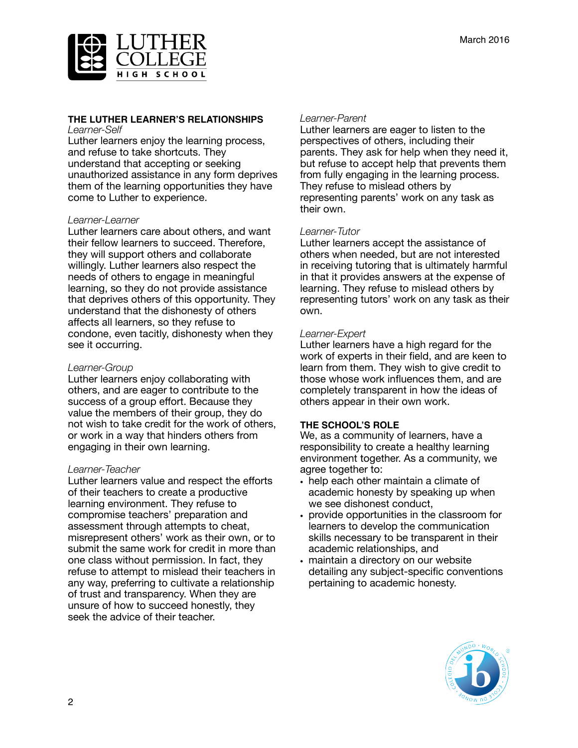

## **THE LUTHER LEARNER'S RELATIONSHIPS**

*Learner-Self*

Luther learners enjoy the learning process, and refuse to take shortcuts. They understand that accepting or seeking unauthorized assistance in any form deprives them of the learning opportunities they have come to Luther to experience.

#### *Learner-Learner*

Luther learners care about others, and want their fellow learners to succeed. Therefore, they will support others and collaborate willingly. Luther learners also respect the needs of others to engage in meaningful learning, so they do not provide assistance that deprives others of this opportunity. They understand that the dishonesty of others affects all learners, so they refuse to condone, even tacitly, dishonesty when they see it occurring.

#### *Learner-Group*

Luther learners enjoy collaborating with others, and are eager to contribute to the success of a group effort. Because they value the members of their group, they do not wish to take credit for the work of others, or work in a way that hinders others from engaging in their own learning.

## *Learner-Teacher*

Luther learners value and respect the efforts of their teachers to create a productive learning environment. They refuse to compromise teachers' preparation and assessment through attempts to cheat, misrepresent others' work as their own, or to submit the same work for credit in more than one class without permission. In fact, they refuse to attempt to mislead their teachers in any way, preferring to cultivate a relationship of trust and transparency. When they are unsure of how to succeed honestly, they seek the advice of their teacher.

#### *Learner-Parent*

Luther learners are eager to listen to the perspectives of others, including their parents. They ask for help when they need it, but refuse to accept help that prevents them from fully engaging in the learning process. They refuse to mislead others by representing parents' work on any task as their own.

## *Learner-Tutor*

Luther learners accept the assistance of others when needed, but are not interested in receiving tutoring that is ultimately harmful in that it provides answers at the expense of learning. They refuse to mislead others by representing tutors' work on any task as their own.

#### *Learner-Expert*

Luther learners have a high regard for the work of experts in their field, and are keen to learn from them. They wish to give credit to those whose work influences them, and are completely transparent in how the ideas of others appear in their own work.

#### **THE SCHOOL'S ROLE**

We, as a community of learners, have a responsibility to create a healthy learning environment together. As a community, we agree together to:

- help each other maintain a climate of academic honesty by speaking up when we see dishonest conduct,
- provide opportunities in the classroom for learners to develop the communication skills necessary to be transparent in their academic relationships, and
- maintain a directory on our website detailing any subject-specific conventions pertaining to academic honesty.